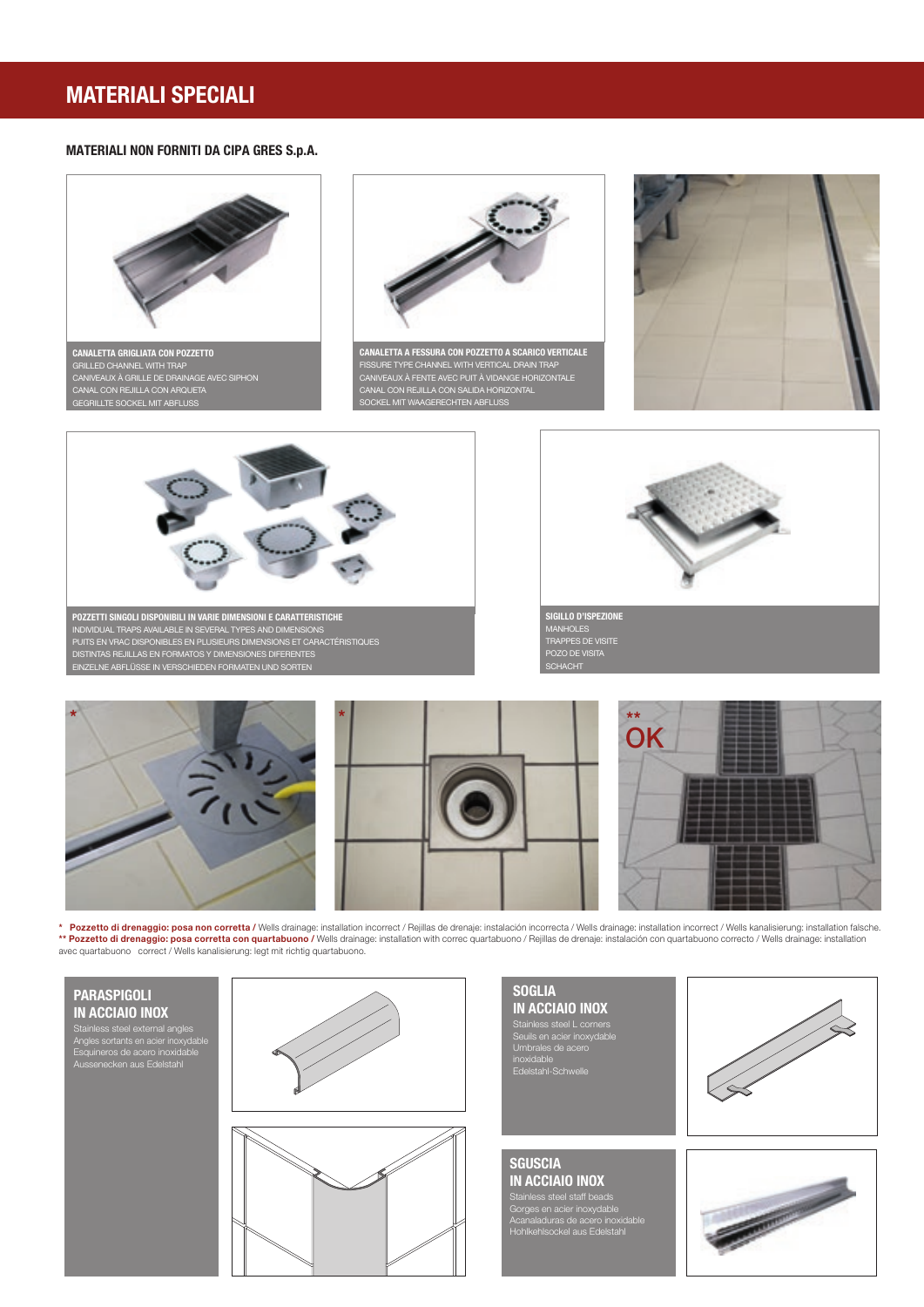# **MATERIALI SPECIALI**

## **MATERIALI NON FORNITI DA CIPA GRES S.p.A.**





**\* Pozzetto di drenaggio: posa non corretta /** Wells drainage: installation incorrect / Rejillas de drenaje: instalación incorrecta / Wells drainage: installation incorrect / Wells kanalisierung: installation falsche. \*\* **Pozzetto di drenaggio: posa corretta con quartabuono /** Wells drainage: installation with correc quartabuono / Rejillas de drenaje: instalación con quartabuono correcto / Wells drainage: installation<br>avec quartabuono

## **PARASPIGOLI IN ACCIAIO INOX**

Stainless steel external angles Angles sortants en acier inoxydable Esquineros de acero inoxidable Aussenecken aus Edelstahl



**SOGLIA<br>In acciaio Inox IN ACCIAIO INOX**<br>Stainless steel L corners<br>Seuils en acier inoxydable<br>Umbrales de acero<br>inoxidable idable<br>Istahl-Schwell



**SGUSCIA IN ACCIAIO INOX**

Stainless steel staff beads Gorges en acier inoxydable Acanaladuras de acero inoxidable Hohlkehlsockel aus Edelstahl